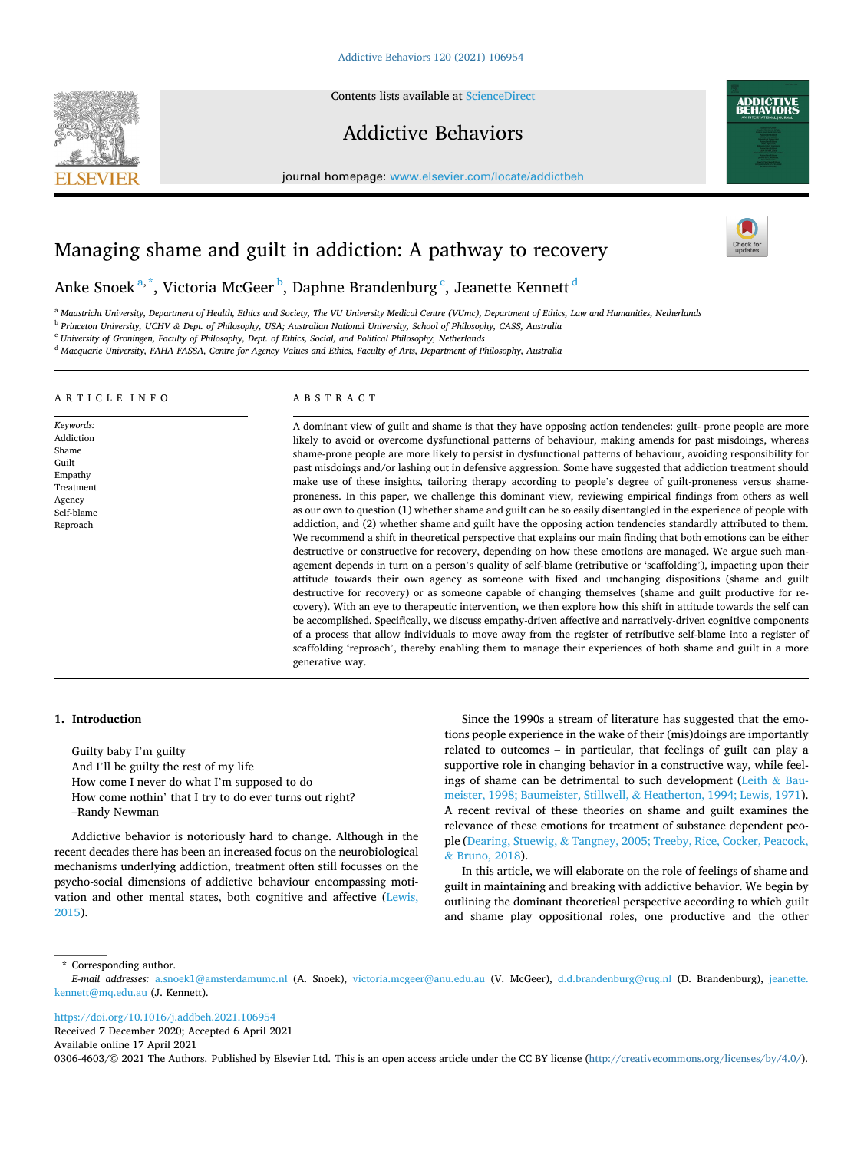

Contents lists available at [ScienceDirect](www.sciencedirect.com/science/journal/03064603)

# Addictive Behaviors

journal homepage: [www.elsevier.com/locate/addictbeh](https://www.elsevier.com/locate/addictbeh) 



# Managing shame and guilt in addiction: A pathway to recovery

Anke Snoek $^{\mathrm{a},\mathrm{*}}$ , Victoria McGeer $^{\mathrm{b}}$ , Daphne Brandenburg  $^{\mathrm{c}}$ , Jeanette Kennett $^{\mathrm{d}}$ 

<sup>a</sup> Maastricht University, Department of Health, Ethics and Society, The VU University Medical Centre (VUmc), Department of Ethics, Law and Humanities, Netherlands

<sup>b</sup> *Princeton University, UCHV & Dept. of Philosophy, USA; Australian National University, School of Philosophy, CASS, Australia* 

<sup>c</sup> *University of Groningen, Faculty of Philosophy, Dept. of Ethics, Social, and Political Philosophy, Netherlands* 

<sup>d</sup> *Macquarie University, FAHA FASSA, Centre for Agency Values and Ethics, Faculty of Arts, Department of Philosophy, Australia* 

| ARTICLE INFO                                                                                         | ABSTRACT                                                                                                                                                                                                                                                                                                                                                                                                                                                                                                                                                                                                                                                                                                                                                                                                                                                                                                                                                                                                                                                                                                                                                                                                                                                                                                                                                                                                                                                                                                                                                                                                                                                                                                                                                                                                                                                                                                                                                                                                     |
|------------------------------------------------------------------------------------------------------|--------------------------------------------------------------------------------------------------------------------------------------------------------------------------------------------------------------------------------------------------------------------------------------------------------------------------------------------------------------------------------------------------------------------------------------------------------------------------------------------------------------------------------------------------------------------------------------------------------------------------------------------------------------------------------------------------------------------------------------------------------------------------------------------------------------------------------------------------------------------------------------------------------------------------------------------------------------------------------------------------------------------------------------------------------------------------------------------------------------------------------------------------------------------------------------------------------------------------------------------------------------------------------------------------------------------------------------------------------------------------------------------------------------------------------------------------------------------------------------------------------------------------------------------------------------------------------------------------------------------------------------------------------------------------------------------------------------------------------------------------------------------------------------------------------------------------------------------------------------------------------------------------------------------------------------------------------------------------------------------------------------|
| Keywords:<br>Addiction<br>Shame<br>Guilt<br>Empathy<br>Treatment<br>Agency<br>Self-blame<br>Reproach | A dominant view of guilt and shame is that they have opposing action tendencies: guilt- prone people are more<br>likely to avoid or overcome dysfunctional patterns of behaviour, making amends for past misdoings, whereas<br>shame-prone people are more likely to persist in dysfunctional patterns of behaviour, avoiding responsibility for<br>past misdoings and/or lashing out in defensive aggression. Some have suggested that addiction treatment should<br>make use of these insights, tailoring therapy according to people's degree of guilt-proneness versus shame-<br>proneness. In this paper, we challenge this dominant view, reviewing empirical findings from others as well<br>as our own to question (1) whether shame and guilt can be so easily disentangled in the experience of people with<br>addiction, and (2) whether shame and guilt have the opposing action tendencies standardly attributed to them.<br>We recommend a shift in theoretical perspective that explains our main finding that both emotions can be either<br>destructive or constructive for recovery, depending on how these emotions are managed. We argue such man-<br>agement depends in turn on a person's quality of self-blame (retributive or 'scaffolding'), impacting upon their<br>attitude towards their own agency as someone with fixed and unchanging dispositions (shame and guilt<br>destructive for recovery) or as someone capable of changing themselves (shame and guilt productive for re-<br>covery). With an eye to therapeutic intervention, we then explore how this shift in attitude towards the self can<br>be accomplished. Specifically, we discuss empathy-driven affective and narratively-driven cognitive components<br>of a process that allow individuals to move away from the register of retributive self-blame into a register of<br>scaffolding 'reproach', thereby enabling them to manage their experiences of both shame and guilt in a more<br>generative way. |

## **1. Introduction**

Guilty baby I'm guilty And I'll be guilty the rest of my life How come I never do what I'm supposed to do How come nothin' that I try to do ever turns out right? –Randy Newman

Addictive behavior is notoriously hard to change. Although in the recent decades there has been an increased focus on the neurobiological mechanisms underlying addiction, treatment often still focusses on the psycho-social dimensions of addictive behaviour encompassing motivation and other mental states, both cognitive and affective [\(Lewis,](#page-8-0)  [2015\)](#page-8-0).

Since the 1990s a stream of literature has suggested that the emotions people experience in the wake of their (mis)doings are importantly related to outcomes – in particular, that feelings of guilt can play a supportive role in changing behavior in a constructive way, while feelings of shame can be detrimental to such development [\(Leith](#page-8-0) & Bau[meister, 1998; Baumeister, Stillwell,](#page-8-0) & Heatherton, 1994; Lewis, 1971). A recent revival of these theories on shame and guilt examines the relevance of these emotions for treatment of substance dependent people (Dearing, Stuewig, & [Tangney, 2005; Treeby, Rice, Cocker, Peacock,](#page-8-0)  & [Bruno, 2018](#page-8-0)).

In this article, we will elaborate on the role of feelings of shame and guilt in maintaining and breaking with addictive behavior. We begin by outlining the dominant theoretical perspective according to which guilt and shame play oppositional roles, one productive and the other

\* Corresponding author.

<https://doi.org/10.1016/j.addbeh.2021.106954>

Received 7 December 2020; Accepted 6 April 2021

Available online 17 April 2021

0306-4603/© 2021 The Authors. Published by Elsevier Ltd. This is an open access article under the CC BY license [\(http://creativecommons.org/licenses/by/4.0/\)](http://creativecommons.org/licenses/by/4.0/).

*E-mail addresses:* [a.snoek1@amsterdamumc.nl](mailto:a.snoek1@amsterdamumc.nl) (A. Snoek), [victoria.mcgeer@anu.edu.au](mailto:victoria.mcgeer@anu.edu.au) (V. McGeer), [d.d.brandenburg@rug.nl](mailto:d.d.brandenburg@rug.nl) (D. Brandenburg), [jeanette.](mailto:jeanette.kennett@mq.edu.au)  [kennett@mq.edu.au](mailto:jeanette.kennett@mq.edu.au) (J. Kennett).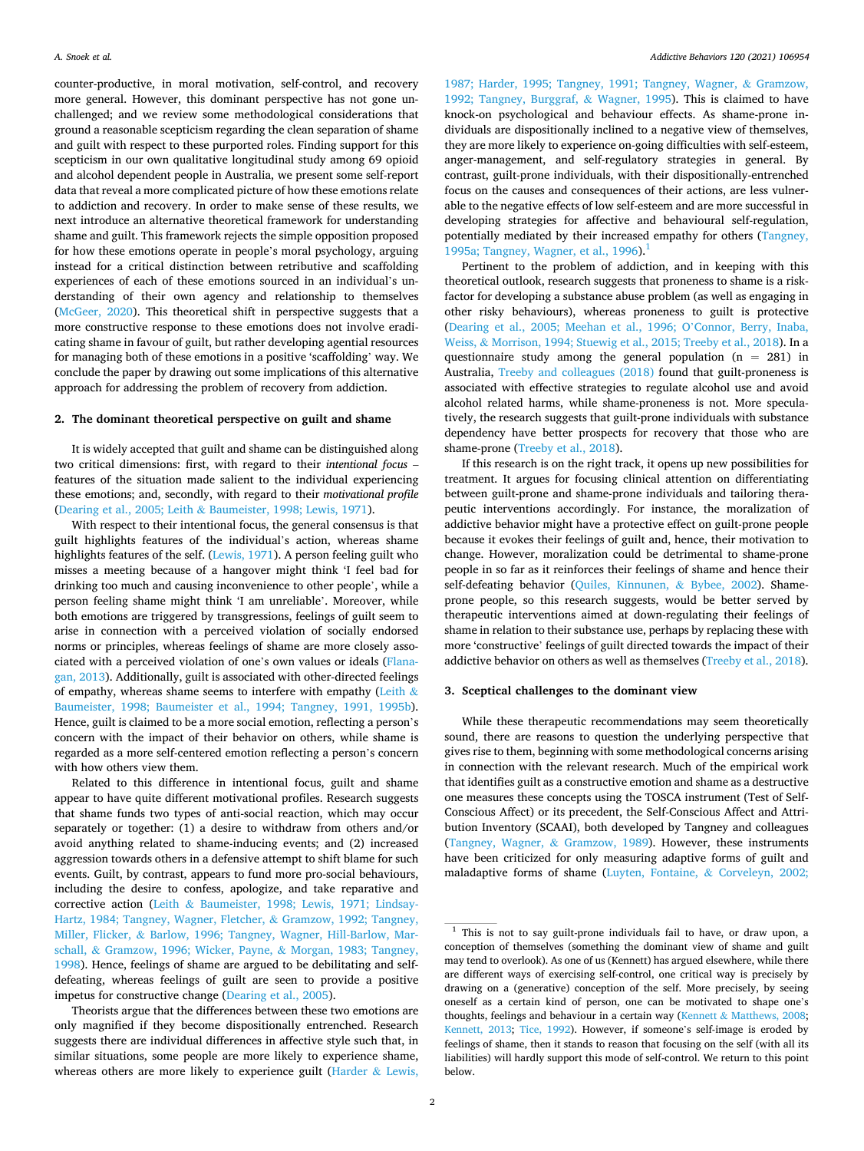<span id="page-1-0"></span>counter-productive, in moral motivation, self-control, and recovery more general. However, this dominant perspective has not gone unchallenged; and we review some methodological considerations that ground a reasonable scepticism regarding the clean separation of shame and guilt with respect to these purported roles. Finding support for this scepticism in our own qualitative longitudinal study among 69 opioid and alcohol dependent people in Australia, we present some self-report data that reveal a more complicated picture of how these emotions relate to addiction and recovery. In order to make sense of these results, we next introduce an alternative theoretical framework for understanding shame and guilt. This framework rejects the simple opposition proposed for how these emotions operate in people's moral psychology, arguing instead for a critical distinction between retributive and scaffolding experiences of each of these emotions sourced in an individual's understanding of their own agency and relationship to themselves ([McGeer, 2020\)](#page-8-0). This theoretical shift in perspective suggests that a more constructive response to these emotions does not involve eradicating shame in favour of guilt, but rather developing agential resources for managing both of these emotions in a positive 'scaffolding' way. We conclude the paper by drawing out some implications of this alternative approach for addressing the problem of recovery from addiction.

## **2. The dominant theoretical perspective on guilt and shame**

It is widely accepted that guilt and shame can be distinguished along two critical dimensions: first, with regard to their *intentional focus* – features of the situation made salient to the individual experiencing these emotions; and, secondly, with regard to their *motivational profile*  (Dearing et al., 2005; Leith & [Baumeister, 1998; Lewis, 1971\)](#page-8-0).

With respect to their intentional focus, the general consensus is that guilt highlights features of the individual's action, whereas shame highlights features of the self. ([Lewis, 1971\)](#page-8-0). A person feeling guilt who misses a meeting because of a hangover might think 'I feel bad for drinking too much and causing inconvenience to other people', while a person feeling shame might think 'I am unreliable'. Moreover, while both emotions are triggered by transgressions, feelings of guilt seem to arise in connection with a perceived violation of socially endorsed norms or principles, whereas feelings of shame are more closely associated with a perceived violation of one's own values or ideals ([Flana](#page-8-0)[gan, 2013\)](#page-8-0). Additionally, guilt is associated with other-directed feelings of empathy, whereas shame seems to interfere with empathy ([Leith](#page-8-0)  $\&$ [Baumeister, 1998; Baumeister et al., 1994; Tangney, 1991, 1995b](#page-8-0)). Hence, guilt is claimed to be a more social emotion, reflecting a person's concern with the impact of their behavior on others, while shame is regarded as a more self-centered emotion reflecting a person's concern with how others view them.

Related to this difference in intentional focus, guilt and shame appear to have quite different motivational profiles. Research suggests that shame funds two types of anti-social reaction, which may occur separately or together: (1) a desire to withdraw from others and/or avoid anything related to shame-inducing events; and (2) increased aggression towards others in a defensive attempt to shift blame for such events. Guilt, by contrast, appears to fund more pro-social behaviours, including the desire to confess, apologize, and take reparative and corrective action (Leith & [Baumeister, 1998; Lewis, 1971; Lindsay-](#page-8-0)[Hartz, 1984; Tangney, Wagner, Fletcher,](#page-8-0) & Gramzow, 1992; Tangney, Miller, Flicker, & [Barlow, 1996; Tangney, Wagner, Hill-Barlow, Mar](#page-8-0)schall, & [Gramzow, 1996; Wicker, Payne,](#page-8-0) & Morgan, 1983; Tangney, [1998\)](#page-8-0). Hence, feelings of shame are argued to be debilitating and selfdefeating, whereas feelings of guilt are seen to provide a positive impetus for constructive change [\(Dearing et al., 2005\)](#page-8-0).

Theorists argue that the differences between these two emotions are only magnified if they become dispositionally entrenched. Research suggests there are individual differences in affective style such that, in similar situations, some people are more likely to experience shame, whereas others are more likely to experience guilt ([Harder](#page-8-0)  $\&$  Lewis,

[1987; Harder, 1995; Tangney, 1991; Tangney, Wagner,](#page-8-0) & Gramzow, [1992; Tangney, Burggraf,](#page-8-0) & Wagner, 1995). This is claimed to have knock-on psychological and behaviour effects. As shame-prone individuals are dispositionally inclined to a negative view of themselves, they are more likely to experience on-going difficulties with self-esteem, anger-management, and self-regulatory strategies in general. By contrast, guilt-prone individuals, with their dispositionally-entrenched focus on the causes and consequences of their actions, are less vulnerable to the negative effects of low self-esteem and are more successful in developing strategies for affective and behavioural self-regulation, potentially mediated by their increased empathy for others [\(Tangney,](#page-9-0)  [1995a; Tangney, Wagner, et al., 1996](#page-9-0)).<sup>1</sup>

Pertinent to the problem of addiction, and in keeping with this theoretical outlook, research suggests that proneness to shame is a riskfactor for developing a substance abuse problem (as well as engaging in other risky behaviours), whereas proneness to guilt is protective ([Dearing et al., 2005; Meehan et al., 1996; O](#page-8-0)'Connor, Berry, Inaba, Weiss, & [Morrison, 1994; Stuewig et al., 2015; Treeby et al., 2018](#page-8-0)). In a questionnaire study among the general population  $(n = 281)$  in Australia, [Treeby and colleagues \(2018\)](#page-9-0) found that guilt-proneness is associated with effective strategies to regulate alcohol use and avoid alcohol related harms, while shame-proneness is not. More speculatively, the research suggests that guilt-prone individuals with substance dependency have better prospects for recovery that those who are shame-prone [\(Treeby et al., 2018](#page-9-0)).

If this research is on the right track, it opens up new possibilities for treatment. It argues for focusing clinical attention on differentiating between guilt-prone and shame-prone individuals and tailoring therapeutic interventions accordingly. For instance, the moralization of addictive behavior might have a protective effect on guilt-prone people because it evokes their feelings of guilt and, hence, their motivation to change. However, moralization could be detrimental to shame-prone people in so far as it reinforces their feelings of shame and hence their self-defeating behavior ([Quiles, Kinnunen,](#page-9-0) & Bybee, 2002). Shameprone people, so this research suggests, would be better served by therapeutic interventions aimed at down-regulating their feelings of shame in relation to their substance use, perhaps by replacing these with more 'constructive' feelings of guilt directed towards the impact of their addictive behavior on others as well as themselves ([Treeby et al., 2018](#page-9-0)).

## **3. Sceptical challenges to the dominant view**

While these therapeutic recommendations may seem theoretically sound, there are reasons to question the underlying perspective that gives rise to them, beginning with some methodological concerns arising in connection with the relevant research. Much of the empirical work that identifies guilt as a constructive emotion and shame as a destructive one measures these concepts using the TOSCA instrument (Test of Self-Conscious Affect) or its precedent, the Self-Conscious Affect and Attribution Inventory (SCAAI), both developed by Tangney and colleagues ([Tangney, Wagner,](#page-9-0) & Gramzow, 1989). However, these instruments have been criticized for only measuring adaptive forms of guilt and maladaptive forms of shame [\(Luyten, Fontaine,](#page-8-0) & Corveleyn, 2002;

<sup>1</sup> This is not to say guilt-prone individuals fail to have, or draw upon, a conception of themselves (something the dominant view of shame and guilt may tend to overlook). As one of us (Kennett) has argued elsewhere, while there are different ways of exercising self-control, one critical way is precisely by drawing on a (generative) conception of the self. More precisely, by seeing oneself as a certain kind of person, one can be motivated to shape one's thoughts, feelings and behaviour in a certain way (Kennett & [Matthews, 2008;](#page-8-0) [Kennett, 2013;](#page-8-0) [Tice, 1992](#page-9-0)). However, if someone's self-image is eroded by feelings of shame, then it stands to reason that focusing on the self (with all its liabilities) will hardly support this mode of self-control. We return to this point below.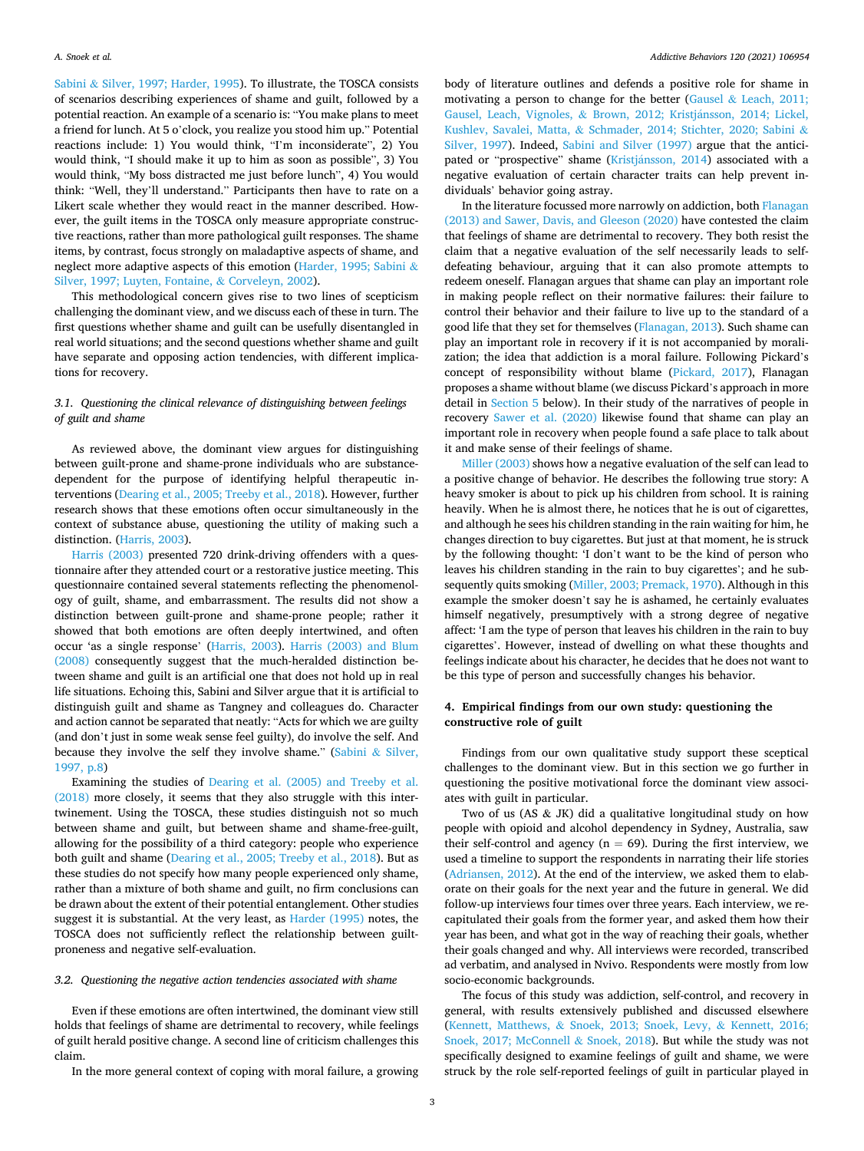Sabini & [Silver, 1997; Harder, 1995](#page-8-0)). To illustrate, the TOSCA consists of scenarios describing experiences of shame and guilt, followed by a potential reaction. An example of a scenario is: "You make plans to meet a friend for lunch. At 5 o'clock, you realize you stood him up." Potential reactions include: 1) You would think, "I'm inconsiderate", 2) You would think, "I should make it up to him as soon as possible", 3) You would think, "My boss distracted me just before lunch", 4) You would think: "Well, they'll understand." Participants then have to rate on a Likert scale whether they would react in the manner described. However, the guilt items in the TOSCA only measure appropriate constructive reactions, rather than more pathological guilt responses. The shame items, by contrast, focus strongly on maladaptive aspects of shame, and neglect more adaptive aspects of this emotion ([Harder, 1995; Sabini](#page-8-0) & [Silver, 1997; Luyten, Fontaine,](#page-8-0) & Corveleyn, 2002).

This methodological concern gives rise to two lines of scepticism challenging the dominant view, and we discuss each of these in turn. The first questions whether shame and guilt can be usefully disentangled in real world situations; and the second questions whether shame and guilt have separate and opposing action tendencies, with different implications for recovery.

# *3.1. Questioning the clinical relevance of distinguishing between feelings of guilt and shame*

As reviewed above, the dominant view argues for distinguishing between guilt-prone and shame-prone individuals who are substancedependent for the purpose of identifying helpful therapeutic interventions [\(Dearing et al., 2005; Treeby et al., 2018](#page-8-0)). However, further research shows that these emotions often occur simultaneously in the context of substance abuse, questioning the utility of making such a distinction. ([Harris, 2003](#page-8-0)).

[Harris \(2003\)](#page-8-0) presented 720 drink-driving offenders with a questionnaire after they attended court or a restorative justice meeting. This questionnaire contained several statements reflecting the phenomenology of guilt, shame, and embarrassment. The results did not show a distinction between guilt-prone and shame-prone people; rather it showed that both emotions are often deeply intertwined, and often occur 'as a single response' ([Harris, 2003](#page-8-0)). [Harris \(2003\) and Blum](#page-8-0)  [\(2008\)](#page-8-0) consequently suggest that the much-heralded distinction between shame and guilt is an artificial one that does not hold up in real life situations. Echoing this, Sabini and Silver argue that it is artificial to distinguish guilt and shame as Tangney and colleagues do. Character and action cannot be separated that neatly: "Acts for which we are guilty (and don't just in some weak sense feel guilty), do involve the self. And because they involve the self they involve shame." ([Sabini](#page-9-0) & Silver, [1997, p.8](#page-9-0))

Examining the studies of [Dearing et al. \(2005\) and Treeby et al.](#page-8-0)  [\(2018\)](#page-8-0) more closely, it seems that they also struggle with this intertwinement. Using the TOSCA, these studies distinguish not so much between shame and guilt, but between shame and shame-free-guilt, allowing for the possibility of a third category: people who experience both guilt and shame ([Dearing et al., 2005; Treeby et al., 2018](#page-8-0)). But as these studies do not specify how many people experienced only shame, rather than a mixture of both shame and guilt, no firm conclusions can be drawn about the extent of their potential entanglement. Other studies suggest it is substantial. At the very least, as [Harder \(1995\)](#page-8-0) notes, the TOSCA does not sufficiently reflect the relationship between guiltproneness and negative self-evaluation.

#### *3.2. Questioning the negative action tendencies associated with shame*

Even if these emotions are often intertwined, the dominant view still holds that feelings of shame are detrimental to recovery, while feelings of guilt herald positive change. A second line of criticism challenges this claim.

In the more general context of coping with moral failure, a growing

body of literature outlines and defends a positive role for shame in motivating a person to change for the better (Gausel  $\&$  Leach, 2011; Gausel, Leach, Vignoles, & Brown, 2012; Kristjánsson, 2014; Lickel, Kushlev, Savalei, Matta, & [Schmader, 2014; Stichter, 2020; Sabini](#page-8-0) & [Silver, 1997](#page-8-0)). Indeed, [Sabini and Silver \(1997\)](#page-9-0) argue that the anticipated or "prospective" shame (Kristjánsson, 2014) associated with a negative evaluation of certain character traits can help prevent individuals' behavior going astray.

In the literature focussed more narrowly on addiction, both [Flanagan](#page-8-0)  [\(2013\) and Sawer, Davis, and Gleeson \(2020\)](#page-8-0) have contested the claim that feelings of shame are detrimental to recovery. They both resist the claim that a negative evaluation of the self necessarily leads to selfdefeating behaviour, arguing that it can also promote attempts to redeem oneself. Flanagan argues that shame can play an important role in making people reflect on their normative failures: their failure to control their behavior and their failure to live up to the standard of a good life that they set for themselves [\(Flanagan, 2013\)](#page-8-0). Such shame can play an important role in recovery if it is not accompanied by moralization; the idea that addiction is a moral failure. Following Pickard's concept of responsibility without blame [\(Pickard, 2017\)](#page-9-0), Flanagan proposes a shame without blame (we discuss Pickard's approach in more detail in [Section 5](#page-3-0) below). In their study of the narratives of people in recovery [Sawer et al. \(2020\)](#page-9-0) likewise found that shame can play an important role in recovery when people found a safe place to talk about it and make sense of their feelings of shame.

[Miller \(2003\)](#page-9-0) shows how a negative evaluation of the self can lead to a positive change of behavior. He describes the following true story: A heavy smoker is about to pick up his children from school. It is raining heavily. When he is almost there, he notices that he is out of cigarettes, and although he sees his children standing in the rain waiting for him, he changes direction to buy cigarettes. But just at that moment, he is struck by the following thought: 'I don't want to be the kind of person who leaves his children standing in the rain to buy cigarettes'; and he subsequently quits smoking [\(Miller, 2003; Premack, 1970\)](#page-9-0). Although in this example the smoker doesn't say he is ashamed, he certainly evaluates himself negatively, presumptively with a strong degree of negative affect: 'I am the type of person that leaves his children in the rain to buy cigarettes'. However, instead of dwelling on what these thoughts and feelings indicate about his character, he decides that he does not want to be this type of person and successfully changes his behavior.

# **4. Empirical findings from our own study: questioning the constructive role of guilt**

Findings from our own qualitative study support these sceptical challenges to the dominant view. But in this section we go further in questioning the positive motivational force the dominant view associates with guilt in particular.

Two of us (AS & JK) did a qualitative longitudinal study on how people with opioid and alcohol dependency in Sydney, Australia, saw their self-control and agency ( $n = 69$ ). During the first interview, we used a timeline to support the respondents in narrating their life stories ([Adriansen, 2012\)](#page-8-0). At the end of the interview, we asked them to elaborate on their goals for the next year and the future in general. We did follow-up interviews four times over three years. Each interview, we recapitulated their goals from the former year, and asked them how their year has been, and what got in the way of reaching their goals, whether their goals changed and why. All interviews were recorded, transcribed ad verbatim, and analysed in Nvivo. Respondents were mostly from low socio-economic backgrounds.

The focus of this study was addiction, self-control, and recovery in general, with results extensively published and discussed elsewhere (Kennett, Matthews, & [Snoek, 2013; Snoek, Levy,](#page-8-0) & Kennett, 2016; [Snoek, 2017; McConnell](#page-8-0) & Snoek, 2018). But while the study was not specifically designed to examine feelings of guilt and shame, we were struck by the role self-reported feelings of guilt in particular played in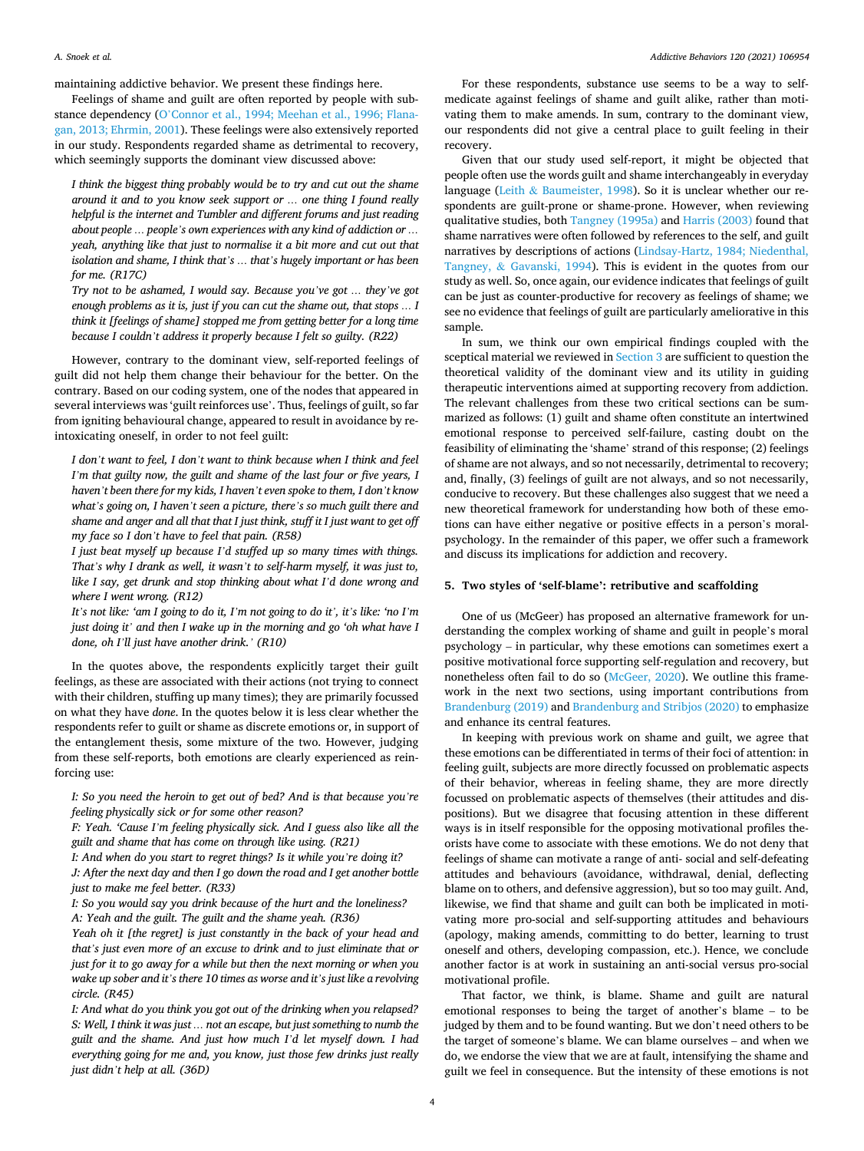<span id="page-3-0"></span>maintaining addictive behavior. We present these findings here.

Feelings of shame and guilt are often reported by people with substance dependency (O'[Connor et al., 1994; Meehan et al., 1996; Flana](#page-9-0)[gan, 2013; Ehrmin, 2001](#page-9-0)). These feelings were also extensively reported in our study. Respondents regarded shame as detrimental to recovery, which seemingly supports the dominant view discussed above:

*I think the biggest thing probably would be to try and cut out the shame around it and to you know seek support or … one thing I found really helpful is the internet and Tumbler and different forums and just reading about people … people's own experiences with any kind of addiction or … yeah, anything like that just to normalise it a bit more and cut out that isolation and shame, I think that's … that's hugely important or has been for me. (R17C)* 

*Try not to be ashamed, I would say. Because you've got … they've got enough problems as it is, just if you can cut the shame out, that stops … I think it [feelings of shame] stopped me from getting better for a long time because I couldn't address it properly because I felt so guilty. (R22)* 

However, contrary to the dominant view, self-reported feelings of guilt did not help them change their behaviour for the better. On the contrary. Based on our coding system, one of the nodes that appeared in several interviews was 'guilt reinforces use'. Thus, feelings of guilt, so far from igniting behavioural change, appeared to result in avoidance by reintoxicating oneself, in order to not feel guilt:

*I don't want to feel, I don't want to think because when I think and feel I'm that guilty now, the guilt and shame of the last four or five years, I haven't been there for my kids, I haven't even spoke to them, I don't know what's going on, I haven't seen a picture, there's so much guilt there and shame and anger and all that that I just think, stuff it I just want to get off my face so I don't have to feel that pain. (R58)* 

*I just beat myself up because I'd stuffed up so many times with things. That's why I drank as well, it wasn't to self-harm myself, it was just to, like I say, get drunk and stop thinking about what I'd done wrong and where I went wrong. (R12)* 

*It's not like: 'am I going to do it, I'm not going to do it', it's like: 'no I'm just doing it' and then I wake up in the morning and go 'oh what have I done, oh I'll just have another drink.' (R10)* 

In the quotes above, the respondents explicitly target their guilt feelings, as these are associated with their actions (not trying to connect with their children, stuffing up many times); they are primarily focussed on what they have *done*. In the quotes below it is less clear whether the respondents refer to guilt or shame as discrete emotions or, in support of the entanglement thesis, some mixture of the two. However, judging from these self-reports, both emotions are clearly experienced as reinforcing use:

*I: So you need the heroin to get out of bed? And is that because you're feeling physically sick or for some other reason?* 

*F: Yeah. 'Cause I'm feeling physically sick. And I guess also like all the guilt and shame that has come on through like using. (R21)* 

*I: And when do you start to regret things? Is it while you're doing it?* 

*J: After the next day and then I go down the road and I get another bottle just to make me feel better. (R33)* 

*I: So you would say you drink because of the hurt and the loneliness? A: Yeah and the guilt. The guilt and the shame yeah. (R36)* 

*Yeah oh it [the regret] is just constantly in the back of your head and that's just even more of an excuse to drink and to just eliminate that or just for it to go away for a while but then the next morning or when you wake up sober and it's there 10 times as worse and it's just like a revolving circle. (R45)* 

*I: And what do you think you got out of the drinking when you relapsed? S: Well, I think it was just … not an escape, but just something to numb the guilt and the shame. And just how much I'd let myself down. I had everything going for me and, you know, just those few drinks just really just didn't help at all. (36D)* 

For these respondents, substance use seems to be a way to selfmedicate against feelings of shame and guilt alike, rather than motivating them to make amends. In sum, contrary to the dominant view, our respondents did not give a central place to guilt feeling in their recovery.

Given that our study used self-report, it might be objected that people often use the words guilt and shame interchangeably in everyday language (Leith & [Baumeister, 1998](#page-8-0)). So it is unclear whether our respondents are guilt-prone or shame-prone. However, when reviewing qualitative studies, both [Tangney \(1995a\)](#page-9-0) and [Harris \(2003\)](#page-8-0) found that shame narratives were often followed by references to the self, and guilt narratives by descriptions of actions [\(Lindsay-Hartz, 1984; Niedenthal,](#page-8-0)  Tangney, & [Gavanski, 1994\)](#page-8-0). This is evident in the quotes from our study as well. So, once again, our evidence indicates that feelings of guilt can be just as counter-productive for recovery as feelings of shame; we see no evidence that feelings of guilt are particularly ameliorative in this sample.

In sum, we think our own empirical findings coupled with the sceptical material we reviewed in [Section 3](#page-1-0) are sufficient to question the theoretical validity of the dominant view and its utility in guiding therapeutic interventions aimed at supporting recovery from addiction. The relevant challenges from these two critical sections can be summarized as follows: (1) guilt and shame often constitute an intertwined emotional response to perceived self-failure, casting doubt on the feasibility of eliminating the 'shame' strand of this response; (2) feelings of shame are not always, and so not necessarily, detrimental to recovery; and, finally, (3) feelings of guilt are not always, and so not necessarily, conducive to recovery. But these challenges also suggest that we need a new theoretical framework for understanding how both of these emotions can have either negative or positive effects in a person's moralpsychology. In the remainder of this paper, we offer such a framework and discuss its implications for addiction and recovery.

## **5. Two styles of 'self-blame': retributive and scaffolding**

One of us (McGeer) has proposed an alternative framework for understanding the complex working of shame and guilt in people's moral psychology – in particular, why these emotions can sometimes exert a positive motivational force supporting self-regulation and recovery, but nonetheless often fail to do so ([McGeer, 2020\)](#page-8-0). We outline this framework in the next two sections, using important contributions from [Brandenburg \(2019\)](#page-8-0) and [Brandenburg and Stribjos \(2020\)](#page-8-0) to emphasize and enhance its central features.

In keeping with previous work on shame and guilt, we agree that these emotions can be differentiated in terms of their foci of attention: in feeling guilt, subjects are more directly focussed on problematic aspects of their behavior, whereas in feeling shame, they are more directly focussed on problematic aspects of themselves (their attitudes and dispositions). But we disagree that focusing attention in these different ways is in itself responsible for the opposing motivational profiles theorists have come to associate with these emotions. We do not deny that feelings of shame can motivate a range of anti- social and self-defeating attitudes and behaviours (avoidance, withdrawal, denial, deflecting blame on to others, and defensive aggression), but so too may guilt. And, likewise, we find that shame and guilt can both be implicated in motivating more pro-social and self-supporting attitudes and behaviours (apology, making amends, committing to do better, learning to trust oneself and others, developing compassion, etc.). Hence, we conclude another factor is at work in sustaining an anti-social versus pro-social motivational profile.

That factor, we think, is blame. Shame and guilt are natural emotional responses to being the target of another's blame – to be judged by them and to be found wanting. But we don't need others to be the target of someone's blame. We can blame ourselves – and when we do, we endorse the view that we are at fault, intensifying the shame and guilt we feel in consequence. But the intensity of these emotions is not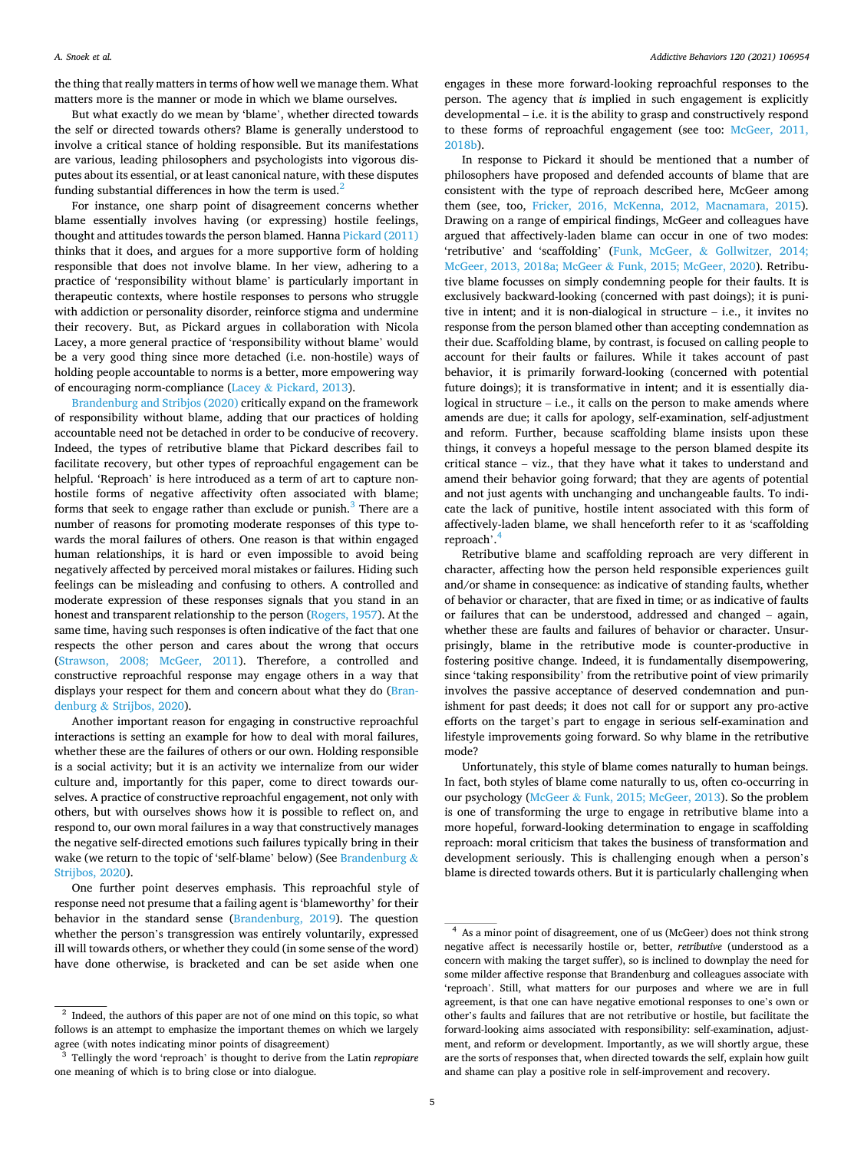the thing that really matters in terms of how well we manage them. What matters more is the manner or mode in which we blame ourselves.

But what exactly do we mean by 'blame', whether directed towards the self or directed towards others? Blame is generally understood to involve a critical stance of holding responsible. But its manifestations are various, leading philosophers and psychologists into vigorous disputes about its essential, or at least canonical nature, with these disputes funding substantial differences in how the term is used. $<sup>2</sup>$ </sup>

For instance, one sharp point of disagreement concerns whether blame essentially involves having (or expressing) hostile feelings, thought and attitudes towards the person blamed. Hanna [Pickard \(2011\)](#page-9-0)  thinks that it does, and argues for a more supportive form of holding responsible that does not involve blame. In her view, adhering to a practice of 'responsibility without blame' is particularly important in therapeutic contexts, where hostile responses to persons who struggle with addiction or personality disorder, reinforce stigma and undermine their recovery. But, as Pickard argues in collaboration with Nicola Lacey, a more general practice of 'responsibility without blame' would be a very good thing since more detached (i.e. non-hostile) ways of holding people accountable to norms is a better, more empowering way of encouraging norm-compliance (Lacey & [Pickard, 2013](#page-8-0)).

[Brandenburg and Stribjos \(2020\)](#page-8-0) critically expand on the framework of responsibility without blame, adding that our practices of holding accountable need not be detached in order to be conducive of recovery. Indeed, the types of retributive blame that Pickard describes fail to facilitate recovery, but other types of reproachful engagement can be helpful. 'Reproach' is here introduced as a term of art to capture nonhostile forms of negative affectivity often associated with blame; forms that seek to engage rather than exclude or punish.<sup>3</sup> There are a number of reasons for promoting moderate responses of this type towards the moral failures of others. One reason is that within engaged human relationships, it is hard or even impossible to avoid being negatively affected by perceived moral mistakes or failures. Hiding such feelings can be misleading and confusing to others. A controlled and moderate expression of these responses signals that you stand in an honest and transparent relationship to the person [\(Rogers, 1957](#page-9-0)). At the same time, having such responses is often indicative of the fact that one respects the other person and cares about the wrong that occurs ([Strawson, 2008; McGeer, 2011\)](#page-9-0). Therefore, a controlled and constructive reproachful response may engage others in a way that displays your respect for them and concern about what they do ([Bran](#page-8-0)denburg & [Strijbos, 2020](#page-8-0)).

Another important reason for engaging in constructive reproachful interactions is setting an example for how to deal with moral failures, whether these are the failures of others or our own. Holding responsible is a social activity; but it is an activity we internalize from our wider culture and, importantly for this paper, come to direct towards ourselves. A practice of constructive reproachful engagement, not only with others, but with ourselves shows how it is possible to reflect on, and respond to, our own moral failures in a way that constructively manages the negative self-directed emotions such failures typically bring in their wake (we return to the topic of 'self-blame' below) (See [Brandenburg](#page-8-0)  $\&$ [Strijbos, 2020\)](#page-8-0).

One further point deserves emphasis. This reproachful style of response need not presume that a failing agent is 'blameworthy' for their behavior in the standard sense [\(Brandenburg, 2019](#page-8-0)). The question whether the person's transgression was entirely voluntarily, expressed ill will towards others, or whether they could (in some sense of the word) have done otherwise, is bracketed and can be set aside when one

engages in these more forward-looking reproachful responses to the person. The agency that *is* implied in such engagement is explicitly developmental – i.e. it is the ability to grasp and constructively respond to these forms of reproachful engagement (see too: [McGeer, 2011,](#page-8-0)  [2018b\)](#page-8-0).

In response to Pickard it should be mentioned that a number of philosophers have proposed and defended accounts of blame that are consistent with the type of reproach described here, McGeer among them (see, too, [Fricker, 2016, McKenna, 2012, Macnamara, 2015](#page-8-0)). Drawing on a range of empirical findings, McGeer and colleagues have argued that affectively-laden blame can occur in one of two modes: 'retributive' and 'scaffolding' (Funk, McGeer, & [Gollwitzer, 2014;](#page-8-0)  [McGeer, 2013, 2018a; McGeer](#page-8-0) & Funk, 2015; McGeer, 2020). Retributive blame focusses on simply condemning people for their faults. It is exclusively backward-looking (concerned with past doings); it is punitive in intent; and it is non-dialogical in structure – i.e., it invites no response from the person blamed other than accepting condemnation as their due. Scaffolding blame, by contrast, is focused on calling people to account for their faults or failures. While it takes account of past behavior, it is primarily forward-looking (concerned with potential future doings); it is transformative in intent; and it is essentially dialogical in structure – i.e., it calls on the person to make amends where amends are due; it calls for apology, self-examination, self-adjustment and reform. Further, because scaffolding blame insists upon these things, it conveys a hopeful message to the person blamed despite its critical stance – viz., that they have what it takes to understand and amend their behavior going forward; that they are agents of potential and not just agents with unchanging and unchangeable faults. To indicate the lack of punitive, hostile intent associated with this form of affectively-laden blame, we shall henceforth refer to it as 'scaffolding reproach'. 4

Retributive blame and scaffolding reproach are very different in character, affecting how the person held responsible experiences guilt and/or shame in consequence: as indicative of standing faults, whether of behavior or character, that are fixed in time; or as indicative of faults or failures that can be understood, addressed and changed – again, whether these are faults and failures of behavior or character. Unsurprisingly, blame in the retributive mode is counter-productive in fostering positive change. Indeed, it is fundamentally disempowering, since 'taking responsibility' from the retributive point of view primarily involves the passive acceptance of deserved condemnation and punishment for past deeds; it does not call for or support any pro-active efforts on the target's part to engage in serious self-examination and lifestyle improvements going forward. So why blame in the retributive mode?

Unfortunately, this style of blame comes naturally to human beings. In fact, both styles of blame come naturally to us, often co-occurring in our psychology (McGeer & [Funk, 2015; McGeer, 2013\)](#page-8-0). So the problem is one of transforming the urge to engage in retributive blame into a more hopeful, forward-looking determination to engage in scaffolding reproach: moral criticism that takes the business of transformation and development seriously. This is challenging enough when a person's blame is directed towards others. But it is particularly challenging when

 $2$  Indeed, the authors of this paper are not of one mind on this topic, so what follows is an attempt to emphasize the important themes on which we largely agree (with notes indicating minor points of disagreement) 3 Tellingly the word 'reproach' is thought to derive from the Latin *repropiare* 

one meaning of which is to bring close or into dialogue.

<sup>4</sup> As a minor point of disagreement, one of us (McGeer) does not think strong negative affect is necessarily hostile or, better, *retributive* (understood as a concern with making the target suffer), so is inclined to downplay the need for some milder affective response that Brandenburg and colleagues associate with 'reproach'. Still, what matters for our purposes and where we are in full agreement, is that one can have negative emotional responses to one's own or other's faults and failures that are not retributive or hostile, but facilitate the forward-looking aims associated with responsibility: self-examination, adjustment, and reform or development. Importantly, as we will shortly argue, these are the sorts of responses that, when directed towards the self, explain how guilt and shame can play a positive role in self-improvement and recovery.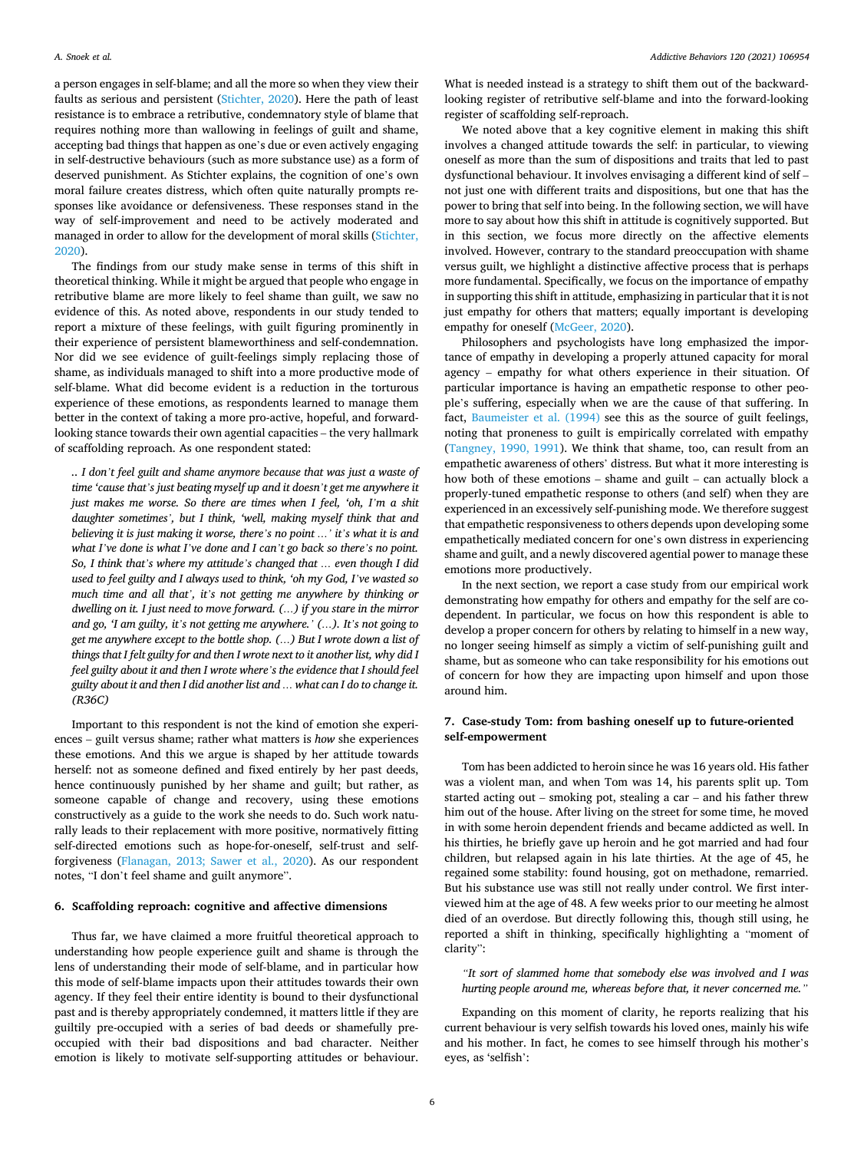a person engages in self-blame; and all the more so when they view their faults as serious and persistent ([Stichter, 2020\)](#page-9-0). Here the path of least resistance is to embrace a retributive, condemnatory style of blame that requires nothing more than wallowing in feelings of guilt and shame, accepting bad things that happen as one's due or even actively engaging in self-destructive behaviours (such as more substance use) as a form of deserved punishment. As Stichter explains, the cognition of one's own moral failure creates distress, which often quite naturally prompts responses like avoidance or defensiveness. These responses stand in the way of self-improvement and need to be actively moderated and managed in order to allow for the development of moral skills [\(Stichter,](#page-9-0)  [2020\)](#page-9-0).

The findings from our study make sense in terms of this shift in theoretical thinking. While it might be argued that people who engage in retributive blame are more likely to feel shame than guilt, we saw no evidence of this. As noted above, respondents in our study tended to report a mixture of these feelings, with guilt figuring prominently in their experience of persistent blameworthiness and self-condemnation. Nor did we see evidence of guilt-feelings simply replacing those of shame, as individuals managed to shift into a more productive mode of self-blame. What did become evident is a reduction in the torturous experience of these emotions, as respondents learned to manage them better in the context of taking a more pro-active, hopeful, and forwardlooking stance towards their own agential capacities – the very hallmark of scaffolding reproach. As one respondent stated:

*.. I don't feel guilt and shame anymore because that was just a waste of time 'cause that's just beating myself up and it doesn't get me anywhere it just makes me worse. So there are times when I feel, 'oh, I'm a shit daughter sometimes', but I think, 'well, making myself think that and believing it is just making it worse, there's no point …' it's what it is and what I've done is what I've done and I can't go back so there's no point. So, I think that's where my attitude's changed that … even though I did used to feel guilty and I always used to think, 'oh my God, I've wasted so much time and all that', it's not getting me anywhere by thinking or dwelling on it. I just need to move forward. (…) if you stare in the mirror and go, 'I am guilty, it's not getting me anywhere.' (…). It's not going to get me anywhere except to the bottle shop. (…) But I wrote down a list of things that I felt guilty for and then I wrote next to it another list, why did I feel guilty about it and then I wrote where's the evidence that I should feel guilty about it and then I did another list and … what can I do to change it. (R36C)* 

Important to this respondent is not the kind of emotion she experiences – guilt versus shame; rather what matters is *how* she experiences these emotions. And this we argue is shaped by her attitude towards herself: not as someone defined and fixed entirely by her past deeds, hence continuously punished by her shame and guilt; but rather, as someone capable of change and recovery, using these emotions constructively as a guide to the work she needs to do. Such work naturally leads to their replacement with more positive, normatively fitting self-directed emotions such as hope-for-oneself, self-trust and selfforgiveness ([Flanagan, 2013; Sawer et al., 2020](#page-8-0)). As our respondent notes, "I don't feel shame and guilt anymore".

# **6. Scaffolding reproach: cognitive and affective dimensions**

Thus far, we have claimed a more fruitful theoretical approach to understanding how people experience guilt and shame is through the lens of understanding their mode of self-blame, and in particular how this mode of self-blame impacts upon their attitudes towards their own agency. If they feel their entire identity is bound to their dysfunctional past and is thereby appropriately condemned, it matters little if they are guiltily pre-occupied with a series of bad deeds or shamefully preoccupied with their bad dispositions and bad character. Neither emotion is likely to motivate self-supporting attitudes or behaviour.

What is needed instead is a strategy to shift them out of the backwardlooking register of retributive self-blame and into the forward-looking register of scaffolding self-reproach.

We noted above that a key cognitive element in making this shift involves a changed attitude towards the self: in particular, to viewing oneself as more than the sum of dispositions and traits that led to past dysfunctional behaviour. It involves envisaging a different kind of self – not just one with different traits and dispositions, but one that has the power to bring that self into being. In the following section, we will have more to say about how this shift in attitude is cognitively supported. But in this section, we focus more directly on the affective elements involved. However, contrary to the standard preoccupation with shame versus guilt, we highlight a distinctive affective process that is perhaps more fundamental. Specifically, we focus on the importance of empathy in supporting this shift in attitude, emphasizing in particular that it is not just empathy for others that matters; equally important is developing empathy for oneself [\(McGeer, 2020](#page-8-0)).

Philosophers and psychologists have long emphasized the importance of empathy in developing a properly attuned capacity for moral agency – empathy for what others experience in their situation. Of particular importance is having an empathetic response to other people's suffering, especially when we are the cause of that suffering. In fact, [Baumeister et al. \(1994\)](#page-8-0) see this as the source of guilt feelings, noting that proneness to guilt is empirically correlated with empathy ([Tangney, 1990, 1991](#page-9-0)). We think that shame, too, can result from an empathetic awareness of others' distress. But what it more interesting is how both of these emotions – shame and guilt – can actually block a properly-tuned empathetic response to others (and self) when they are experienced in an excessively self-punishing mode. We therefore suggest that empathetic responsiveness to others depends upon developing some empathetically mediated concern for one's own distress in experiencing shame and guilt, and a newly discovered agential power to manage these emotions more productively.

In the next section, we report a case study from our empirical work demonstrating how empathy for others and empathy for the self are codependent. In particular, we focus on how this respondent is able to develop a proper concern for others by relating to himself in a new way, no longer seeing himself as simply a victim of self-punishing guilt and shame, but as someone who can take responsibility for his emotions out of concern for how they are impacting upon himself and upon those around him.

# **7. Case-study Tom: from bashing oneself up to future-oriented self-empowerment**

Tom has been addicted to heroin since he was 16 years old. His father was a violent man, and when Tom was 14, his parents split up. Tom started acting out – smoking pot, stealing a car – and his father threw him out of the house. After living on the street for some time, he moved in with some heroin dependent friends and became addicted as well. In his thirties, he briefly gave up heroin and he got married and had four children, but relapsed again in his late thirties. At the age of 45, he regained some stability: found housing, got on methadone, remarried. But his substance use was still not really under control. We first interviewed him at the age of 48. A few weeks prior to our meeting he almost died of an overdose. But directly following this, though still using, he reported a shift in thinking, specifically highlighting a "moment of clarity":

*"It sort of slammed home that somebody else was involved and I was hurting people around me, whereas before that, it never concerned me."* 

Expanding on this moment of clarity, he reports realizing that his current behaviour is very selfish towards his loved ones, mainly his wife and his mother. In fact, he comes to see himself through his mother's eyes, as 'selfish':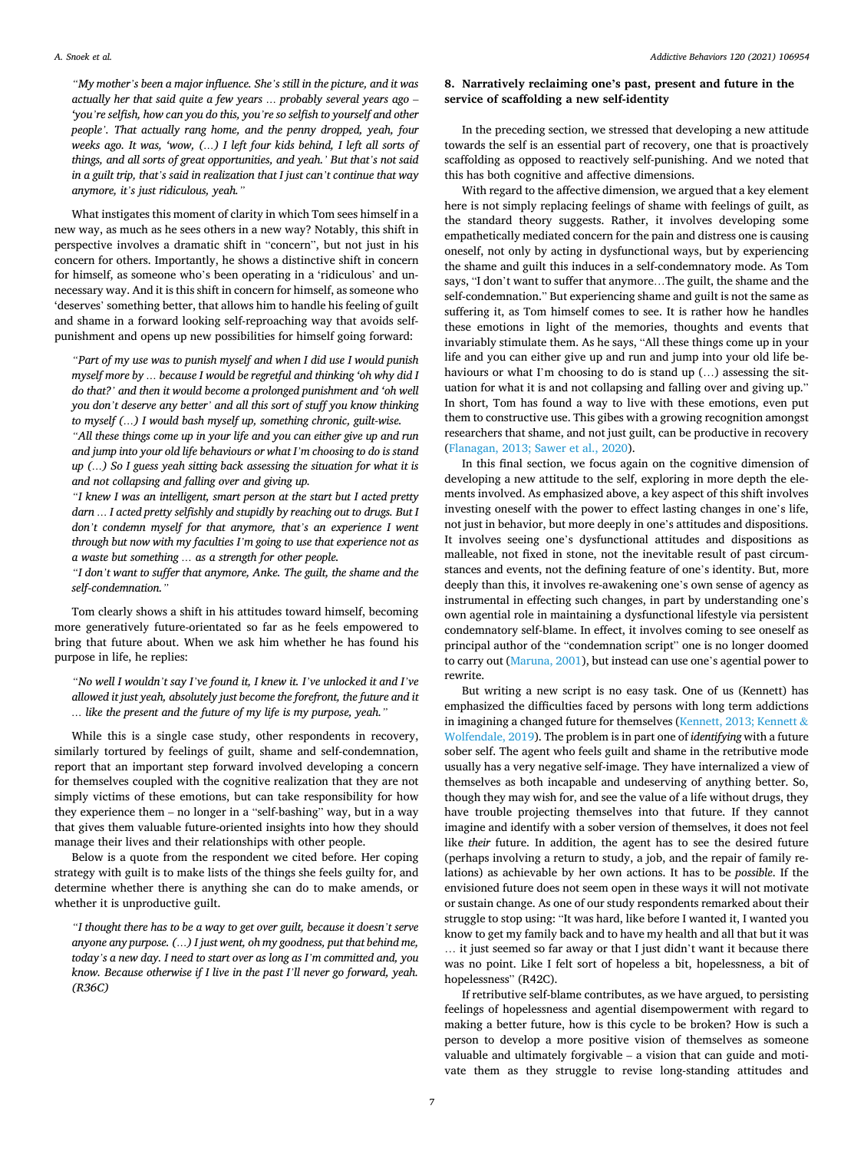*"My mother's been a major influence. She's still in the picture, and it was actually her that said quite a few years … probably several years ago* – *'you're selfish, how can you do this, you're so selfish to yourself and other people'. That actually rang home, and the penny dropped, yeah, four weeks ago. It was, 'wow, (…) I left four kids behind, I left all sorts of things, and all sorts of great opportunities, and yeah.' But that's not said in a guilt trip, that's said in realization that I just can't continue that way anymore, it's just ridiculous, yeah."* 

What instigates this moment of clarity in which Tom sees himself in a new way, as much as he sees others in a new way? Notably, this shift in perspective involves a dramatic shift in "concern", but not just in his concern for others. Importantly, he shows a distinctive shift in concern for himself, as someone who's been operating in a 'ridiculous' and unnecessary way. And it is this shift in concern for himself, as someone who 'deserves' something better, that allows him to handle his feeling of guilt and shame in a forward looking self-reproaching way that avoids selfpunishment and opens up new possibilities for himself going forward:

*"Part of my use was to punish myself and when I did use I would punish myself more by … because I would be regretful and thinking 'oh why did I do that?' and then it would become a prolonged punishment and 'oh well you don't deserve any better' and all this sort of stuff you know thinking to myself (…) I would bash myself up, something chronic, guilt-wise.* 

*"All these things come up in your life and you can either give up and run and jump into your old life behaviours or what I'm choosing to do is stand up (…) So I guess yeah sitting back assessing the situation for what it is and not collapsing and falling over and giving up.* 

*"I knew I was an intelligent, smart person at the start but I acted pretty darn … I acted pretty selfishly and stupidly by reaching out to drugs. But I don't condemn myself for that anymore, that's an experience I went through but now with my faculties I'm going to use that experience not as a waste but something … as a strength for other people.* 

*"I don't want to suffer that anymore, Anke. The guilt, the shame and the self-condemnation."* 

Tom clearly shows a shift in his attitudes toward himself, becoming more generatively future-orientated so far as he feels empowered to bring that future about. When we ask him whether he has found his purpose in life, he replies:

*"No well I wouldn't say I've found it, I knew it. I've unlocked it and I've allowed it just yeah, absolutely just become the forefront, the future and it … like the present and the future of my life is my purpose, yeah."* 

While this is a single case study, other respondents in recovery, similarly tortured by feelings of guilt, shame and self-condemnation, report that an important step forward involved developing a concern for themselves coupled with the cognitive realization that they are not simply victims of these emotions, but can take responsibility for how they experience them – no longer in a "self-bashing" way, but in a way that gives them valuable future-oriented insights into how they should manage their lives and their relationships with other people.

Below is a quote from the respondent we cited before. Her coping strategy with guilt is to make lists of the things she feels guilty for, and determine whether there is anything she can do to make amends, or whether it is unproductive guilt.

*"I thought there has to be a way to get over guilt, because it doesn't serve anyone any purpose. (…) I just went, oh my goodness, put that behind me, today's a new day. I need to start over as long as I'm committed and, you know. Because otherwise if I live in the past I'll never go forward, yeah. (R36C)* 

# **8. Narratively reclaiming one's past, present and future in the service of scaffolding a new self-identity**

In the preceding section, we stressed that developing a new attitude towards the self is an essential part of recovery, one that is proactively scaffolding as opposed to reactively self-punishing. And we noted that this has both cognitive and affective dimensions.

With regard to the affective dimension, we argued that a key element here is not simply replacing feelings of shame with feelings of guilt, as the standard theory suggests. Rather, it involves developing some empathetically mediated concern for the pain and distress one is causing oneself, not only by acting in dysfunctional ways, but by experiencing the shame and guilt this induces in a self-condemnatory mode. As Tom says, "I don't want to suffer that anymore…The guilt, the shame and the self-condemnation." But experiencing shame and guilt is not the same as suffering it, as Tom himself comes to see. It is rather how he handles these emotions in light of the memories, thoughts and events that invariably stimulate them. As he says, "All these things come up in your life and you can either give up and run and jump into your old life behaviours or what I'm choosing to do is stand up (...) assessing the situation for what it is and not collapsing and falling over and giving up." In short, Tom has found a way to live with these emotions, even put them to constructive use. This gibes with a growing recognition amongst researchers that shame, and not just guilt, can be productive in recovery ([Flanagan, 2013; Sawer et al., 2020\)](#page-8-0).

In this final section, we focus again on the cognitive dimension of developing a new attitude to the self, exploring in more depth the elements involved. As emphasized above, a key aspect of this shift involves investing oneself with the power to effect lasting changes in one's life, not just in behavior, but more deeply in one's attitudes and dispositions. It involves seeing one's dysfunctional attitudes and dispositions as malleable, not fixed in stone, not the inevitable result of past circumstances and events, not the defining feature of one's identity. But, more deeply than this, it involves re-awakening one's own sense of agency as instrumental in effecting such changes, in part by understanding one's own agential role in maintaining a dysfunctional lifestyle via persistent condemnatory self-blame. In effect, it involves coming to see oneself as principal author of the "condemnation script" one is no longer doomed to carry out ([Maruna, 2001](#page-8-0)), but instead can use one's agential power to rewrite.

But writing a new script is no easy task. One of us (Kennett) has emphasized the difficulties faced by persons with long term addictions in imagining a changed future for themselves ([Kennett, 2013; Kennett](#page-8-0) & [Wolfendale, 2019](#page-8-0)). The problem is in part one of *identifying* with a future sober self. The agent who feels guilt and shame in the retributive mode usually has a very negative self-image. They have internalized a view of themselves as both incapable and undeserving of anything better. So, though they may wish for, and see the value of a life without drugs, they have trouble projecting themselves into that future. If they cannot imagine and identify with a sober version of themselves, it does not feel like *their* future. In addition, the agent has to see the desired future (perhaps involving a return to study, a job, and the repair of family relations) as achievable by her own actions. It has to be *possible*. If the envisioned future does not seem open in these ways it will not motivate or sustain change. As one of our study respondents remarked about their struggle to stop using: "It was hard, like before I wanted it, I wanted you know to get my family back and to have my health and all that but it was … it just seemed so far away or that I just didn't want it because there was no point. Like I felt sort of hopeless a bit, hopelessness, a bit of hopelessness" (R42C).

If retributive self-blame contributes, as we have argued, to persisting feelings of hopelessness and agential disempowerment with regard to making a better future, how is this cycle to be broken? How is such a person to develop a more positive vision of themselves as someone valuable and ultimately forgivable – a vision that can guide and motivate them as they struggle to revise long-standing attitudes and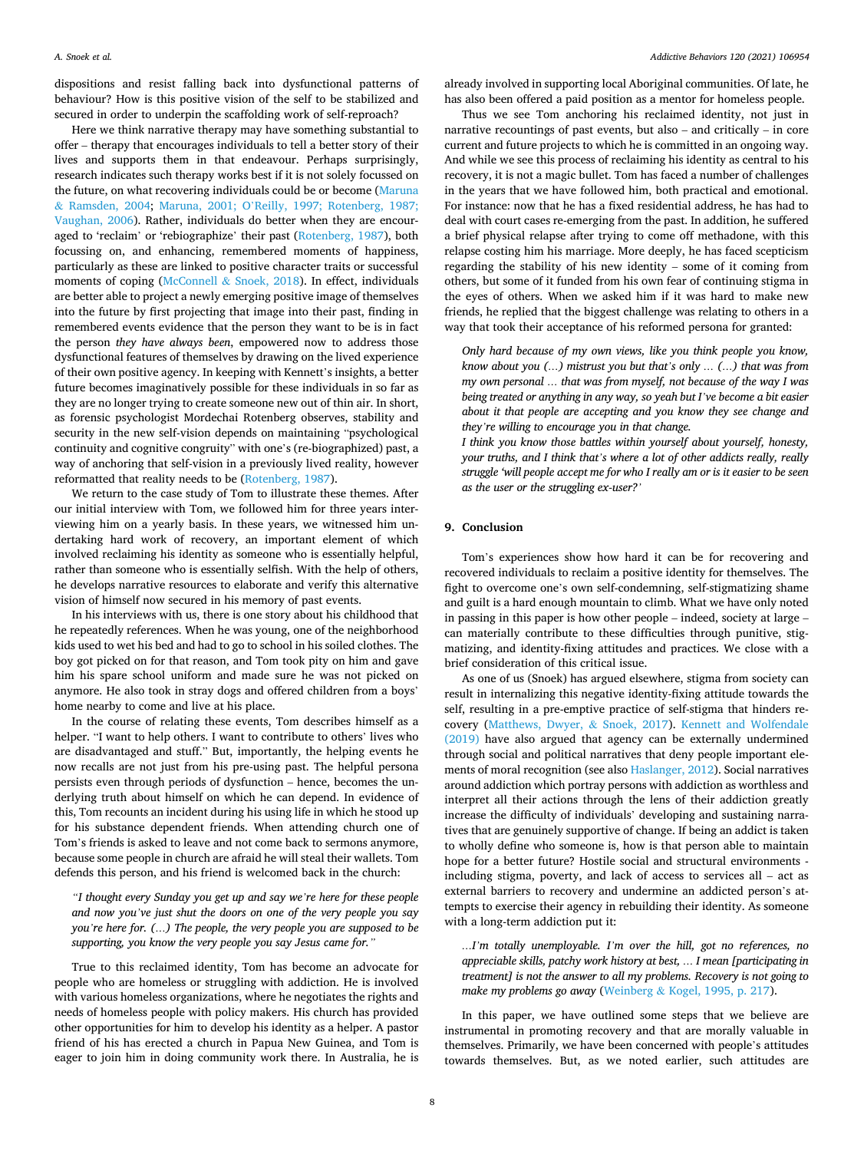dispositions and resist falling back into dysfunctional patterns of behaviour? How is this positive vision of the self to be stabilized and secured in order to underpin the scaffolding work of self-reproach?

Here we think narrative therapy may have something substantial to offer – therapy that encourages individuals to tell a better story of their lives and supports them in that endeavour. Perhaps surprisingly, research indicates such therapy works best if it is not solely focussed on the future, on what recovering individuals could be or become [\(Maruna](#page-8-0)  & [Ramsden, 2004;](#page-8-0) Maruna, 2001; O'[Reilly, 1997; Rotenberg, 1987;](#page-8-0)  [Vaughan, 2006](#page-8-0)). Rather, individuals do better when they are encouraged to 'reclaim' or 'rebiographize' their past ([Rotenberg, 1987\)](#page-9-0), both focussing on, and enhancing, remembered moments of happiness, particularly as these are linked to positive character traits or successful moments of coping (McConnell & [Snoek, 2018\)](#page-8-0). In effect, individuals are better able to project a newly emerging positive image of themselves into the future by first projecting that image into their past, finding in remembered events evidence that the person they want to be is in fact the person *they have always been*, empowered now to address those dysfunctional features of themselves by drawing on the lived experience of their own positive agency. In keeping with Kennett's insights, a better future becomes imaginatively possible for these individuals in so far as they are no longer trying to create someone new out of thin air. In short, as forensic psychologist Mordechai Rotenberg observes, stability and security in the new self-vision depends on maintaining "psychological continuity and cognitive congruity" with one's (re-biographized) past, a way of anchoring that self-vision in a previously lived reality, however reformatted that reality needs to be ([Rotenberg, 1987\)](#page-9-0).

We return to the case study of Tom to illustrate these themes. After our initial interview with Tom, we followed him for three years interviewing him on a yearly basis. In these years, we witnessed him undertaking hard work of recovery, an important element of which involved reclaiming his identity as someone who is essentially helpful, rather than someone who is essentially selfish. With the help of others, he develops narrative resources to elaborate and verify this alternative vision of himself now secured in his memory of past events.

In his interviews with us, there is one story about his childhood that he repeatedly references. When he was young, one of the neighborhood kids used to wet his bed and had to go to school in his soiled clothes. The boy got picked on for that reason, and Tom took pity on him and gave him his spare school uniform and made sure he was not picked on anymore. He also took in stray dogs and offered children from a boys' home nearby to come and live at his place.

In the course of relating these events, Tom describes himself as a helper. "I want to help others. I want to contribute to others' lives who are disadvantaged and stuff." But, importantly, the helping events he now recalls are not just from his pre-using past. The helpful persona persists even through periods of dysfunction – hence, becomes the underlying truth about himself on which he can depend. In evidence of this, Tom recounts an incident during his using life in which he stood up for his substance dependent friends. When attending church one of Tom's friends is asked to leave and not come back to sermons anymore, because some people in church are afraid he will steal their wallets. Tom defends this person, and his friend is welcomed back in the church:

*"I thought every Sunday you get up and say we're here for these people and now you've just shut the doors on one of the very people you say you're here for. (…) The people, the very people you are supposed to be supporting, you know the very people you say Jesus came for."* 

True to this reclaimed identity, Tom has become an advocate for people who are homeless or struggling with addiction. He is involved with various homeless organizations, where he negotiates the rights and needs of homeless people with policy makers. His church has provided other opportunities for him to develop his identity as a helper. A pastor friend of his has erected a church in Papua New Guinea, and Tom is eager to join him in doing community work there. In Australia, he is already involved in supporting local Aboriginal communities. Of late, he has also been offered a paid position as a mentor for homeless people.

Thus we see Tom anchoring his reclaimed identity, not just in narrative recountings of past events, but also – and critically – in core current and future projects to which he is committed in an ongoing way. And while we see this process of reclaiming his identity as central to his recovery, it is not a magic bullet. Tom has faced a number of challenges in the years that we have followed him, both practical and emotional. For instance: now that he has a fixed residential address, he has had to deal with court cases re-emerging from the past. In addition, he suffered a brief physical relapse after trying to come off methadone, with this relapse costing him his marriage. More deeply, he has faced scepticism regarding the stability of his new identity – some of it coming from others, but some of it funded from his own fear of continuing stigma in the eyes of others. When we asked him if it was hard to make new friends, he replied that the biggest challenge was relating to others in a way that took their acceptance of his reformed persona for granted:

*Only hard because of my own views, like you think people you know, know about you (…) mistrust you but that's only … (…) that was from my own personal … that was from myself, not because of the way I was being treated or anything in any way, so yeah but I've become a bit easier about it that people are accepting and you know they see change and they're willing to encourage you in that change.* 

*I think you know those battles within yourself about yourself, honesty, your truths, and I think that's where a lot of other addicts really, really struggle 'will people accept me for who I really am or is it easier to be seen as the user or the struggling ex-user?'* 

## **9. Conclusion**

Tom's experiences show how hard it can be for recovering and recovered individuals to reclaim a positive identity for themselves. The fight to overcome one's own self-condemning, self-stigmatizing shame and guilt is a hard enough mountain to climb. What we have only noted in passing in this paper is how other people – indeed, society at large – can materially contribute to these difficulties through punitive, stigmatizing, and identity-fixing attitudes and practices. We close with a brief consideration of this critical issue.

As one of us (Snoek) has argued elsewhere, stigma from society can result in internalizing this negative identity-fixing attitude towards the self, resulting in a pre-emptive practice of self-stigma that hinders recovery ([Matthews, Dwyer,](#page-8-0) & Snoek, 2017). [Kennett and Wolfendale](#page-8-0)  [\(2019\)](#page-8-0) have also argued that agency can be externally undermined through social and political narratives that deny people important elements of moral recognition (see also [Haslanger, 2012](#page-8-0)). Social narratives around addiction which portray persons with addiction as worthless and interpret all their actions through the lens of their addiction greatly increase the difficulty of individuals' developing and sustaining narratives that are genuinely supportive of change. If being an addict is taken to wholly define who someone is, how is that person able to maintain hope for a better future? Hostile social and structural environments including stigma, poverty, and lack of access to services all – act as external barriers to recovery and undermine an addicted person's attempts to exercise their agency in rebuilding their identity. As someone with a long-term addiction put it:

*…I'm totally unemployable. I'm over the hill, got no references, no appreciable skills, patchy work history at best, … I mean [participating in treatment] is not the answer to all my problems. Recovery is not going to make my problems go away* (Weinberg & [Kogel, 1995, p. 217\)](#page-9-0).

In this paper, we have outlined some steps that we believe are instrumental in promoting recovery and that are morally valuable in themselves. Primarily, we have been concerned with people's attitudes towards themselves. But, as we noted earlier, such attitudes are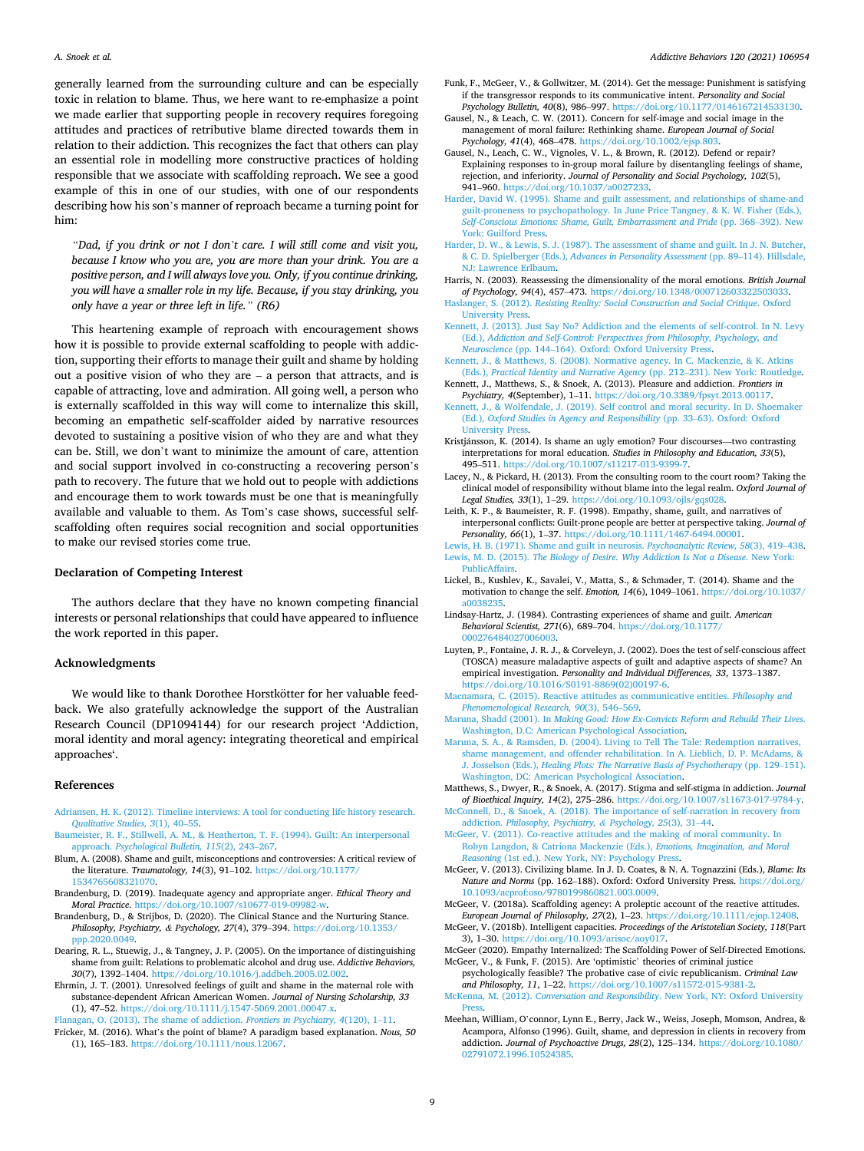<span id="page-8-0"></span>generally learned from the surrounding culture and can be especially toxic in relation to blame. Thus, we here want to re-emphasize a point we made earlier that supporting people in recovery requires foregoing attitudes and practices of retributive blame directed towards them in relation to their addiction. This recognizes the fact that others can play an essential role in modelling more constructive practices of holding responsible that we associate with scaffolding reproach. We see a good example of this in one of our studies, with one of our respondents describing how his son's manner of reproach became a turning point for him:

*"Dad, if you drink or not I don't care. I will still come and visit you, because I know who you are, you are more than your drink. You are a positive person, and I will always love you. Only, if you continue drinking, you will have a smaller role in my life. Because, if you stay drinking, you only have a year or three left in life." (R6)* 

This heartening example of reproach with encouragement shows how it is possible to provide external scaffolding to people with addiction, supporting their efforts to manage their guilt and shame by holding out a positive vision of who they are – a person that attracts, and is capable of attracting, love and admiration. All going well, a person who is externally scaffolded in this way will come to internalize this skill, becoming an empathetic self-scaffolder aided by narrative resources devoted to sustaining a positive vision of who they are and what they can be. Still, we don't want to minimize the amount of care, attention and social support involved in co-constructing a recovering person's path to recovery. The future that we hold out to people with addictions and encourage them to work towards must be one that is meaningfully available and valuable to them. As Tom's case shows, successful selfscaffolding often requires social recognition and social opportunities to make our revised stories come true.

## **Declaration of Competing Interest**

The authors declare that they have no known competing financial interests or personal relationships that could have appeared to influence the work reported in this paper.

#### **Acknowledgments**

We would like to thank Dorothee Horstkötter for her valuable feedback. We also gratefully acknowledge the support of the Australian Research Council (DP1094144) for our research project 'Addiction, moral identity and moral agency: integrating theoretical and empirical approaches'.

#### **References**

- [Adriansen, H. K. \(2012\). Timeline interviews: A tool for conducting life history research.](http://refhub.elsevier.com/S0306-4603(21)00139-8/h0005)  *[Qualitative Studies, 3](http://refhub.elsevier.com/S0306-4603(21)00139-8/h0005)*(1), 40–55.
- [Baumeister, R. F., Stillwell, A. M., & Heatherton, T. F. \(1994\). Guilt: An interpersonal](http://refhub.elsevier.com/S0306-4603(21)00139-8/h0010) approach. *[Psychological Bulletin, 115](http://refhub.elsevier.com/S0306-4603(21)00139-8/h0010)*(2), 243–267.
- Blum, A. (2008). Shame and guilt, misconceptions and controversies: A critical review of the literature. *Traumatology, 14*(3), 91–102. [https://doi.org/10.1177/](https://doi.org/10.1177/1534765608321070) [1534765608321070.](https://doi.org/10.1177/1534765608321070)
- Brandenburg, D. (2019). Inadequate agency and appropriate anger. *Ethical Theory and Moral Practice.* https://doi.org/10.1007/s10677-019-09982-w. *Moral Practice.* https://doi.org/10.1007/s1067
- Brandenburg, D., & Strijbos, D. (2020). The Clinical Stance and the Nurturing Stance. *Philosophy, Psychiatry, & Psychology, 27*(4), 379–394. [https://doi.org/10.1353/](https://doi.org/10.1353/ppp.2020.0049) [ppp.2020.0049.](https://doi.org/10.1353/ppp.2020.0049)
- Dearing, R. L., Stuewig, J., & Tangney, J. P. (2005). On the importance of distinguishing shame from guilt: Relations to problematic alcohol and drug use. *Addictive Behaviors,*  30(7), 1392-1404. https://doi.org/10.1016/j.addbeh.200
- Ehrmin, J. T. (2001). Unresolved feelings of guilt and shame in the maternal role with substance-dependent African American Women. *Journal of Nursing Scholarship, 33*  (1), 47–52.<https://doi.org/10.1111/j.1547-5069.2001.00047.x>.

[Flanagan, O. \(2013\). The shame of addiction.](http://refhub.elsevier.com/S0306-4603(21)00139-8/h0040) *Frontiers in Psychiatry, 4*(120), 1–11.

Fricker, M. (2016). What's the point of blame? A paradigm based explanation. *Nous, 50*  (1), 165–183.<https://doi.org/10.1111/nous.12067>.

- Funk, F., McGeer, V., & Gollwitzer, M. (2014). Get the message: Punishment is satisfying if the transgressor responds to its communicative intent. *Personality and Social Psychology Bulletin, 40*(8), 986–997. [https://doi.org/10.1177/0146167214533130.](https://doi.org/10.1177/0146167214533130)
- Gausel, N., & Leach, C. W. (2011). Concern for self-image and social image in the management of moral failure: Rethinking shame. *European Journal of Social Psychology, 41*(4), 468–478. <https://doi.org/10.1002/ejsp.803>.
- Gausel, N., Leach, C. W., Vignoles, V. L., & Brown, R. (2012). Defend or repair? Explaining responses to in-group moral failure by disentangling feelings of shame, rejection, and inferiority. *Journal of Personality and Social Psychology, 102*(5), 941–960. <https://doi.org/10.1037/a0027233>.
- Harder, David W. (1995). Shame and guilt assessment, and relationships of shame [guilt-proneness to psychopathology. In June Price Tangney, & K. W. Fisher \(Eds.\),](http://refhub.elsevier.com/S0306-4603(21)00139-8/h0065)  *[Self-Conscious Emotions: Shame, Guilt, Embarrassment and Pride](http://refhub.elsevier.com/S0306-4603(21)00139-8/h0065)* (pp. 368–392). New [York: Guilford Press.](http://refhub.elsevier.com/S0306-4603(21)00139-8/h0065)
- [Harder, D. W., & Lewis, S. J. \(1987\). The assessment of shame and guilt. In J. N. Butcher,](http://refhub.elsevier.com/S0306-4603(21)00139-8/h0070)  & C. D. Spielberger (Eds.), *[Advances in Personality Assessment](http://refhub.elsevier.com/S0306-4603(21)00139-8/h0070)* (pp. 89–114). Hillsdale, [NJ: Lawrence Erlbaum](http://refhub.elsevier.com/S0306-4603(21)00139-8/h0070).
- Harris, N. (2003). Reassessing the dimensionality of the moral emotions. *British Journal of Psychology, 94*(4), 457–473. [https://doi.org/10.1348/000712603322503033.](https://doi.org/10.1348/000712603322503033)
- Haslanger, S. (2012). *[Resisting Reality: Social Construction and Social Critique](http://refhub.elsevier.com/S0306-4603(21)00139-8/h0080)*. Oxford [University Press](http://refhub.elsevier.com/S0306-4603(21)00139-8/h0080).
- [Kennett, J. \(2013\). Just Say No? Addiction and the elements of self-control. In N. Levy](http://refhub.elsevier.com/S0306-4603(21)00139-8/h0085)  (Ed.), *[Addiction and Self-Control: Perspectives from Philosophy, Psychology, and](http://refhub.elsevier.com/S0306-4603(21)00139-8/h0085) Neuroscience* (pp. 144–[164\). Oxford: Oxford University Press.](http://refhub.elsevier.com/S0306-4603(21)00139-8/h0085)
- [Kennett, J., & Matthews, S. \(2008\). Normative agency. In C. Mackenzie, & K. Atkins](http://refhub.elsevier.com/S0306-4603(21)00139-8/h0090) (Eds.), *[Practical Identity and Narrative Agency](http://refhub.elsevier.com/S0306-4603(21)00139-8/h0090)* (pp. 212–231). New York: Routledge. Kennett, J., Matthews, S., & Snoek, A. (2013). Pleasure and addiction. *Frontiers in*
- *Psychiatry, 4*(September), 1–11. [https://doi.org/10.3389/fpsyt.2013.00117.](https://doi.org/10.3389/fpsyt.2013.00117)
- [Kennett, J., & Wolfendale, J. \(2019\). Self control and moral security. In D. Shoemaker](http://refhub.elsevier.com/S0306-4603(21)00139-8/h0100) (Ed.), *[Oxford Studies in Agency and Responsibility](http://refhub.elsevier.com/S0306-4603(21)00139-8/h0100)* (pp. 33–63). Oxford: Oxford [University Press](http://refhub.elsevier.com/S0306-4603(21)00139-8/h0100).
- Kristjánsson, K. (2014). Is shame an ugly emotion? Four discourses—two contrasting interpretations for moral education. *Studies in Philosophy and Education, 33*(5), 495–511. <https://doi.org/10.1007/s11217-013-9399-7>.
- Lacey, N., & Pickard, H. (2013). From the consulting room to the court room? Taking the clinical model of responsibility without blame into the legal realm. *Oxford Journal of Legal Studies, 33*(1), 1–29. <https://doi.org/10.1093/ojls/gqs028>.
- Leith, K. P., & Baumeister, R. F. (1998). Empathy, shame, guilt, and narratives of interpersonal conflicts: Guilt-prone people are better at perspective taking. *Journal of Personality, 66*(1), 1–37. [https://doi.org/10.1111/1467-6494.00001.](https://doi.org/10.1111/1467-6494.00001)

[Lewis, H. B. \(1971\). Shame and guilt in neurosis.](http://refhub.elsevier.com/S0306-4603(21)00139-8/h0120) *Psychoanalytic Review, 58*(3), 419–438. Lewis, M. D. (2015). *[The Biology of Desire. Why Addiction Is Not a Disease](http://refhub.elsevier.com/S0306-4603(21)00139-8/h0125)*. New York: [PublicAffairs.](http://refhub.elsevier.com/S0306-4603(21)00139-8/h0125)

- Lickel, B., Kushlev, K., Savalei, V., Matta, S., & Schmader, T. (2014). Shame and the motivation to change the self. *Emotion, 14*(6), 1049–1061. [https://doi.org/10.1037/](https://doi.org/10.1037/a0038235)  [a0038235.](https://doi.org/10.1037/a0038235)
- Lindsay-Hartz, J. (1984). Contrasting experiences of shame and guilt. *American Behavioral Scientist, 271*(6), 689–704. [https://doi.org/10.1177/](https://doi.org/10.1177/000276484027006003) [000276484027006003](https://doi.org/10.1177/000276484027006003).
- Luyten, P., Fontaine, J. R. J., & Corveleyn, J. (2002). Does the test of self-conscious affect (TOSCA) measure maladaptive aspects of guilt and adaptive aspects of shame? An empirical investigation. *Personality and Individual Differences, 33*, 1373–1387. [https://doi.org/10.1016/S0191-8869\(02\)00197-6.](https://doi.org/10.1016/S0191-8869(02)00197-6)
- [Macnamara, C. \(2015\). Reactive attitudes as communicative entities.](http://refhub.elsevier.com/S0306-4603(21)00139-8/h0145) *Philosophy and [Phenomenological Research, 90](http://refhub.elsevier.com/S0306-4603(21)00139-8/h0145)*(3), 546–569.
- Maruna, Shadd (2001). In *[Making Good: How Ex-Convicts Reform and Rebuild Their Lives](http://refhub.elsevier.com/S0306-4603(21)00139-8/h0150)*. [Washington, D.C: American Psychological Association](http://refhub.elsevier.com/S0306-4603(21)00139-8/h0150).
- [Maruna, S. A., & Ramsden, D. \(2004\). Living to Tell The Tale: Redemption narratives,](http://refhub.elsevier.com/S0306-4603(21)00139-8/h0155) [shame management, and offender rehabilitation. In A. Lieblich, D. P. McAdams, &](http://refhub.elsevier.com/S0306-4603(21)00139-8/h0155)  J. Josselson (Eds.), *[Healing Plots: The Narrative Basis of Psychotherapy](http://refhub.elsevier.com/S0306-4603(21)00139-8/h0155)* (pp. 129–151). [Washington, DC: American Psychological Association](http://refhub.elsevier.com/S0306-4603(21)00139-8/h0155).
- Matthews, S., Dwyer, R., & Snoek, A. (2017). Stigma and self-stigma in addiction. *Journal of Bioethical Inquiry, 14*(2), 275–286. [https://doi.org/10.1007/s11673-017-9784-y.](https://doi.org/10.1007/s11673-017-9784-y)
- [McConnell, D., & Snoek, A. \(2018\). The importance of self-narration in recovery from](http://refhub.elsevier.com/S0306-4603(21)00139-8/h0165)  addiction. *[Philosophy, Psychiatry,](http://refhub.elsevier.com/S0306-4603(21)00139-8/h0165) & Psychology, 25*(3), 31–44.
- [McGeer, V. \(2011\). Co-reactive attitudes and the making of moral community. In](http://refhub.elsevier.com/S0306-4603(21)00139-8/h0170)  [Robyn Langdon, & Catriona Mackenzie \(Eds.\),](http://refhub.elsevier.com/S0306-4603(21)00139-8/h0170) *Emotions, Imagination, and Moral Reasoning* [\(1st ed.\). New York, NY: Psychology Press](http://refhub.elsevier.com/S0306-4603(21)00139-8/h0170).
- McGeer, V. (2013). Civilizing blame. In J. D. Coates, & N. A. Tognazzini (Eds.), *Blame: Its Nature and Norms* (pp. 162–188). Oxford: Oxford University Press. [https://doi.org/](https://doi.org/10.1093/acprof:oso/9780199860821.003.0009) [10.1093/acprof:oso/9780199860821.003.0009.](https://doi.org/10.1093/acprof:oso/9780199860821.003.0009)
- McGeer, V. (2018a). Scaffolding agency: A proleptic account of the reactive attitudes. *European Journal of Philosophy, 27*(2), 1–23. <https://doi.org/10.1111/ejop.12408>.
- McGeer, V. (2018b). Intelligent capacities. *Proceedings of the Aristotelian Society, 118*(Part 3), 1–30. [https://doi.org/10.1093/arisoc/aoy017.](https://doi.org/10.1093/arisoc/aoy017)
- McGeer (2020). Empathy Internalized: The Scaffolding Power of Self-Directed Emotions. McGeer, V., & Funk, F. (2015). Are 'optimistic' theories of criminal justice
- psychologically feasible? The probative case of civic republicanism. *Criminal Law and Philosophy, 11*, 1–22.<https://doi.org/10.1007/s11572-015-9381-2>.
- McKenna, M. (2012). *Conversation and Responsibility*[. New York, NY: Oxford University](http://refhub.elsevier.com/S0306-4603(21)00139-8/h0200)  [Press.](http://refhub.elsevier.com/S0306-4603(21)00139-8/h0200)
- Meehan, William, O'connor, Lynn E., Berry, Jack W., Weiss, Joseph, Momson, Andrea, & Acampora, Alfonso (1996). Guilt, shame, and depression in clients in recovery from addiction. *Journal of Psychoactive Drugs, 28*(2), 125–134. [https://doi.org/10.1080/](https://doi.org/10.1080/02791072.1996.10524385)  [02791072.1996.10524385.](https://doi.org/10.1080/02791072.1996.10524385)